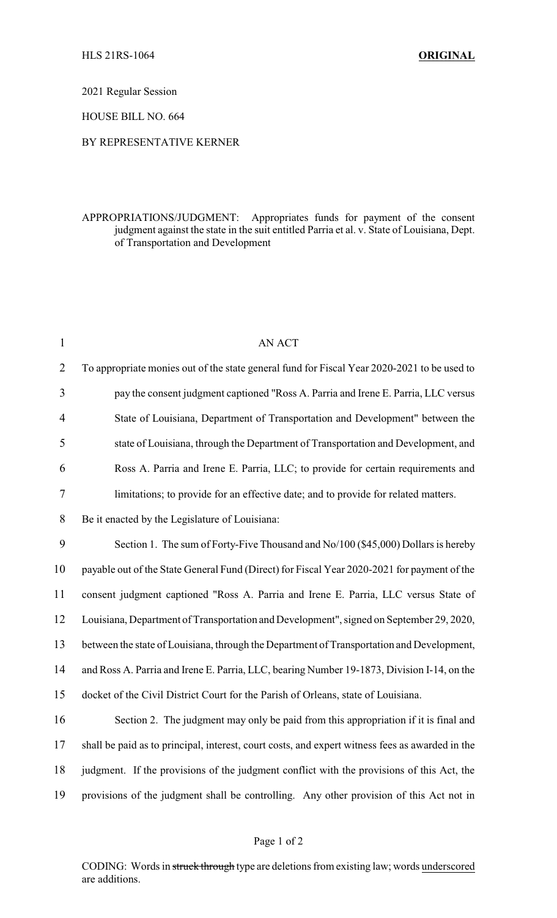2021 Regular Session

HOUSE BILL NO. 664

## BY REPRESENTATIVE KERNER

## APPROPRIATIONS/JUDGMENT: Appropriates funds for payment of the consent judgment against the state in the suit entitled Parria et al. v. State of Louisiana, Dept. of Transportation and Development

| $\mathbf{1}$   | <b>AN ACT</b>                                                                                   |
|----------------|-------------------------------------------------------------------------------------------------|
| $\overline{2}$ | To appropriate monies out of the state general fund for Fiscal Year 2020-2021 to be used to     |
| 3              | pay the consent judgment captioned "Ross A. Parria and Irene E. Parria, LLC versus              |
| $\overline{4}$ | State of Louisiana, Department of Transportation and Development" between the                   |
| 5              | state of Louisiana, through the Department of Transportation and Development, and               |
| 6              | Ross A. Parria and Irene E. Parria, LLC; to provide for certain requirements and                |
| $\overline{7}$ | limitations; to provide for an effective date; and to provide for related matters.              |
| 8              | Be it enacted by the Legislature of Louisiana:                                                  |
| 9              | Section 1. The sum of Forty-Five Thousand and No/100 (\$45,000) Dollars is hereby               |
| 10             | payable out of the State General Fund (Direct) for Fiscal Year 2020-2021 for payment of the     |
| 11             | consent judgment captioned "Ross A. Parria and Irene E. Parria, LLC versus State of             |
| 12             | Louisiana, Department of Transportation and Development", signed on September 29, 2020,         |
| 13             | between the state of Louisiana, through the Department of Transportation and Development,       |
| 14             | and Ross A. Parria and Irene E. Parria, LLC, bearing Number 19-1873, Division I-14, on the      |
| 15             | docket of the Civil District Court for the Parish of Orleans, state of Louisiana.               |
| 16             | Section 2. The judgment may only be paid from this appropriation if it is final and             |
| 17             | shall be paid as to principal, interest, court costs, and expert witness fees as awarded in the |
| 18             | judgment. If the provisions of the judgment conflict with the provisions of this Act, the       |
| 19             | provisions of the judgment shall be controlling. Any other provision of this Act not in         |
|                |                                                                                                 |

CODING: Words in struck through type are deletions from existing law; words underscored are additions.